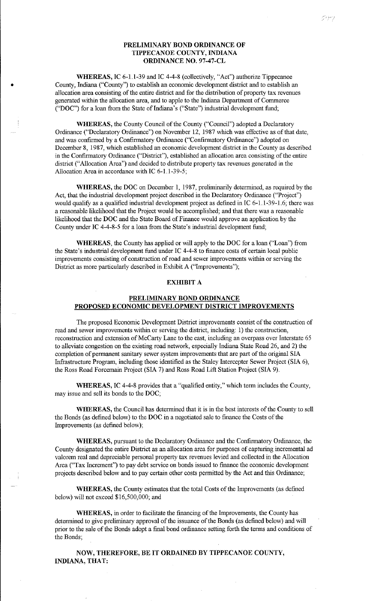## PRELIMINARY BOND ORDINANCE OF TIPPECANOE COUNTY, INDIANA ORDINANCE NO. 97-47-CL

WHEREAS, JC 6-1.1-39 and IC 4-4-8 (collectively, "Act") authorize Tippecanoe County, fudiana ("County") to establish an economic development district and to establish an allocation area consisting of the entire district and for the distribution of property tax revenues generated within the allocation area, and to apple to the fudiana Department of Commerce ("DOC") for a loan from the State of fudiana' s ("State") industrial development fund;

•

WHEREAS, the County Council of the County ("Council") adopted a Declaratory Ordinance ("Declaratory Ordinance") on November 12, 1987 which was effective as of that date, and was confirmed by a Confirmatory Ordinance ("Confirmatory Ordinance") adopted on December 8, 1987, which established an economic development district in the County as described in the Confirmatory Ordinance ("District"), established an allocation area consisting of the entire district ("Allocation Area") and decided to distribute property tax revenues generated in the Allocation Area in accordance with IC 6-1.1-39-5;

WHEREAS, the DOC on December 1, 1987, preliminarily determined, as required by the Act, that the industrial development project described in the Declaratory Ordinance ("Project") would qualify as a qualified industrial development project as defined in IC 6-1.1-39-1.6; there was a reasonable likelihood that the Project would be accomplished; and that there was a reasonable likelihood that the DOC and the State Board of Finance would approve an application by the County under IC 4-4-8-5 for a loan from the State's industrial development fund;

WHEREAS, the County has applied or will apply to the DOC for a loan ("Loan") from the State's industrial development fund under IC 4-4-8 to finance costs of certain local public improvements consisting of construction of road and sewer improvements within or serving the District as more particularly described in Exhibit A ("Improvements");

## EXHIBIT A

## PRELIMINARY BOND ORDINANCE PROPOSED ECONOMIC DEVELOPMENT DISTRICT IMPROVEMENTS

The proposed Economic Development District improvements consist of the construction of read and sewer improvements within or serving the district, including: 1) the construction, reconstruction and extension of McCarty Lane to the east, including an overpass over Interstate 65 to alleviate congestion on the existing road network, especially fudiana State Road 26, and 2) the completion of permanent sanitary sewer system improvements that are part of the original SIA Infrastructure Program, including those identified as the Staley Intercepter Sewer Project (SIA 6), the Ross Road Forcemain Project (SIA 7) and Ross Road Lift Station Project (SIA 9).

WHEREAS, IC 4-4-8 provides that a "qualified entity," which term includes the County, may issue and sell its bonds to the DOC;

WHEREAS, the Council has determined that it is in the best interests of the County to sell the Bonds (as defined below) to the DOC in a negotiated sale to finance the Costs of the Improvements (as defined below);

WHEREAS, pursuant to the Declaratory Ordinance and the Confirmatory Ordinance, the County designated the entire District as an allocation area for purposes of capturing incremental ad valorem real and depreciable personal property tax revenues levied and collected in the Allocation Area ("Tax Increment") to pay debt service on bonds issued to finance the economic development projects described below and to pay certain other costs permitted by the Act and this Ordinance;

WHEREAS, the County estimates that the total Costs of the Improvements (as defined below) will not exceed \$16,500,000; and

WHEREAS, in order to facilitate the financing of the Improvements, the County has determined to give preliminary approval of the issuance of the Bonds (as defined below) and will prior to the sale of the Bonds adopt a final bond ordinance setting forth the terms and conditions of the Bonds;

NOW, THEREFORE, BE IT ORDAINED BY TIPPECANOE COUNTY, INDIANA, THAT: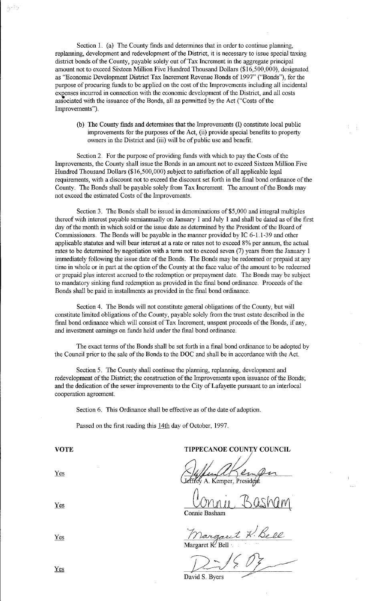Section 1. (a) The County finds and determines that in order to continue planning, replanning, development and redevelopment of the District, it is necessary to issue special taxing district bonds of the County, payable solely out of Tax Increment in the aggregate principal amount not to exceed Sixteen Million Five Hundred Thousand Dollars (\$16,500,000), designated as "Economic Development District Tax Increment Revenue Bonds of 1997" ("Bonds"), for the purpose of procuring funds to be applied on the cost of the hnprovements including all incidental expenses incurred in connection with the economic development of the District, and all costs associated with the issuance of the Bonds, all as permitted by the Act ("Costs of the Improvements").

(b) The County finds and determines that the Improvements (I) constitute local public improvements for the purposes of the Act, (ii) provide special benefits to property owners in the District and (iii) will be of public use and benefit.

Section 2. For the purpose of providing funds with which to pay the Costs of the Improvements, the County shall issue the Bonds in an amount not to exceed Sixteen Million Five Hundred Thousand Dollars (\$16,500,000) subject to satisfaction of all applicable legal requirements, with a discount not to exceed the discount set forth in the final bond ordinance of the County. The Bonds shall be payable solely from Tax Increment. The amount of the Bonds may not exceed the estimated Costs of the Improvements.

Section 3. The Bonds shall be issued in denominations of \$5,000 and integral multiples thereof with interest payable semiannually on January 1 and July 1 and shall be dated as of the first day of the month in which sold or the issue date as determined by the President of the Board of Commissioners. The Bonds will be payable in the manner provided by IC 6-1.1-39 and other applicable statutes and will bear interest at a rate or rates not to exceed 8% per annum, the actual rates to be determined by negotiation with a term not to exceed seven (7) years from the January 1 immediately following the issue date of the Bonds. The Bonds may be redeemed or prepaid at any time in whole or in part at the option of the County at the face value of the amount to be redeemed or prepaid plus interest accrued to the redemption or prepayment date. The Bonds may be subject to mandatory sinking fimd redemption as provided in the final bond ordinance. Proceeds of the Bonds shall be paid in instalhnents as provided in the final bond ordinance.

Section 4. The Bonds will not constitute general obligations of the County, but will constitute limited obligations of the County, payable solely from the trust estate described in the final bond ordinance which will consist of Tax Increment, unspent proceeds of the Bonds, if any, and investment earnings on funds held under the final bond ordinance.

The exact terms of the Bonds shall be set forth in a final bond ordinance to be adopted by the Council prior to the sale of the Bonds to the DOC and shall be in accordance with the Act.

Section 5. The County shall continue the planning, replanning, development and redevelopment of the District; the construction of the Improvements upon issuance of the Bonds; and the dedication of the sewer improvements to the City of Lafayette pursuant to an interlocal cooperation agreement.

Section 6. This Ordinance shall be effective as of the date of adoption.

Passed on the first reading this 14th day of October, 1997.

VOTE TIPPECANOE COUNTY COUNCIL<br>Yes Affind Component  $\frac{\sum_{k=1}^{N} \sum_{k=1}^{N} \sum_{k=1}^{N} \sum_{k=1}^{N} \sum_{k=1}^{N} \sum_{k=1}^{N} \sum_{k=1}^{N} \sum_{k=1}^{N} \sum_{k=1}^{N} \sum_{k=1}^{N} \sum_{k=1}^{N} \sum_{k=1}^{N} \sum_{k=1}^{N} \sum_{k=1}^{N} \sum_{k=1}^{N} \sum_{k=1}^{N} \sum_{k=1}^{N} \sum_{k=1}^{N} \sum_{k=1}^{N} \sum_{k=1}^{N} \sum_{k=1}^{N} \sum_{k=1}^{$ 

 $\frac{V_{OMII}}{C_{\text{onne Basham}}}$   $B_{\text{QsM}}$ 

Yes *Margaret K. Bell*<br>Margaret K. Bell

 $D<sub>2</sub>/2D<sub>3</sub>/2D<sub>3</sub>$ <br>wid S. Byers

Yes